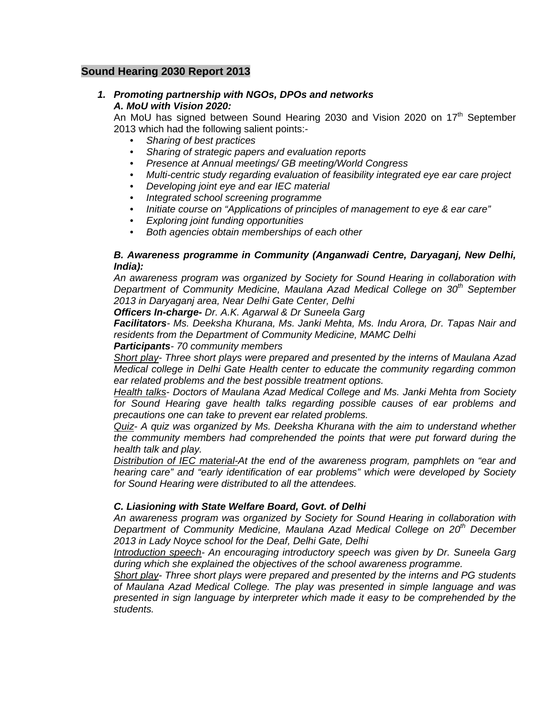# **Sound Hearing 2030 Report 2013**

# *1. Promoting partnership with NGOs, DPOs and networks A. MoU with Vision 2020:*

An MoU has signed between Sound Hearing 2030 and Vision 2020 on  $17<sup>th</sup>$  September 2013 which had the following salient points:-

- *Sharing of best practices*
- *Sharing of strategic papers and evaluation reports*
- *Presence at Annual meetings/ GB meeting/World Congress*
- *Multi-centric study regarding evaluation of feasibility integrated eye ear care project*
- *Developing joint eye and ear IEC material*
- *Integrated school screening programme*
- *Initiate course on "Applications of principles of management to eye & ear care"*
- *Exploring joint funding opportunities*
- *Both agencies obtain memberships of each other*

## *B. Awareness programme in Community (Anganwadi Centre, Daryaganj, New Delhi, India):*

*An awareness program was organized by Society for Sound Hearing in collaboration with Department of Community Medicine, Maulana Azad Medical College on 30th September 2013 in Daryaganj area, Near Delhi Gate Center, Delhi* 

*Officers In-charge- Dr. A.K. Agarwal & Dr Suneela Garg*

*Facilitators- Ms. Deeksha Khurana, Ms. Janki Mehta, Ms. Indu Arora, Dr. Tapas Nair and residents from the Department of Community Medicine, MAMC Delhi* 

### *Participants- 70 community members*

*Short play- Three short plays were prepared and presented by the interns of Maulana Azad Medical college in Delhi Gate Health center to educate the community regarding common ear related problems and the best possible treatment options.* 

*Health talks- Doctors of Maulana Azad Medical College and Ms. Janki Mehta from Society for Sound Hearing gave health talks regarding possible causes of ear problems and precautions one can take to prevent ear related problems.* 

*Quiz- A quiz was organized by Ms. Deeksha Khurana with the aim to understand whether the community members had comprehended the points that were put forward during the health talk and play.* 

*Distribution of IEC material-At the end of the awareness program, pamphlets on "ear and hearing care" and "early identification of ear problems" which were developed by Society for Sound Hearing were distributed to all the attendees.* 

# *C. Liasioning with State Welfare Board, Govt. of Delhi*

*An awareness program was organized by Society for Sound Hearing in collaboration with Department of Community Medicine, Maulana Azad Medical College on 20th December 2013 in Lady Noyce school for the Deaf, Delhi Gate, Delhi* 

*Introduction speech- An encouraging introductory speech was given by Dr. Suneela Garg during which she explained the objectives of the school awareness programme.* 

*Short play- Three short plays were prepared and presented by the interns and PG students of Maulana Azad Medical College. The play was presented in simple language and was presented in sign language by interpreter which made it easy to be comprehended by the students.*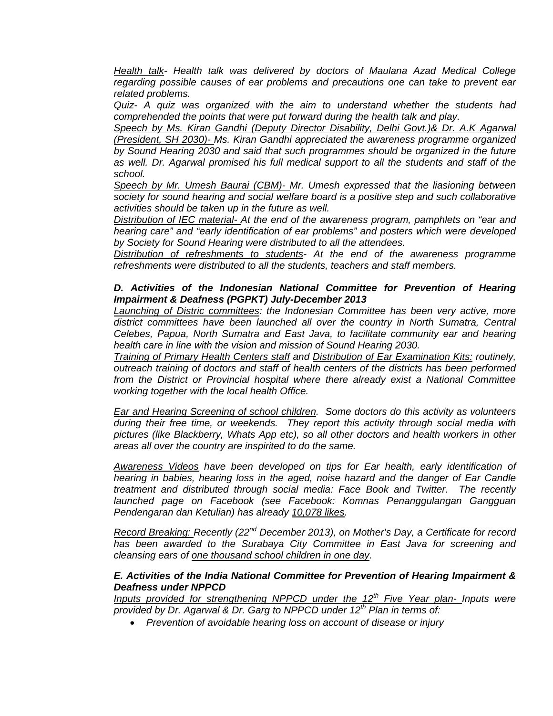*Health talk- Health talk was delivered by doctors of Maulana Azad Medical College regarding possible causes of ear problems and precautions one can take to prevent ear related problems.* 

*Quiz- A quiz was organized with the aim to understand whether the students had comprehended the points that were put forward during the health talk and play.* 

*Speech by Ms. Kiran Gandhi (Deputy Director Disability, Delhi Govt.)& Dr. A.K Agarwal (President, SH 2030)- Ms. Kiran Gandhi appreciated the awareness programme organized by Sound Hearing 2030 and said that such programmes should be organized in the future as well. Dr. Agarwal promised his full medical support to all the students and staff of the school.* 

*Speech by Mr. Umesh Baurai (CBM)- Mr. Umesh expressed that the liasioning between society for sound hearing and social welfare board is a positive step and such collaborative activities should be taken up in the future as well.* 

*Distribution of IEC material- At the end of the awareness program, pamphlets on "ear and hearing care" and "early identification of ear problems" and posters which were developed by Society for Sound Hearing were distributed to all the attendees.* 

*Distribution of refreshments to students- At the end of the awareness programme refreshments were distributed to all the students, teachers and staff members.* 

# *D. Activities of the Indonesian National Committee for Prevention of Hearing Impairment & Deafness (PGPKT) July-December 2013*

*Launching of Distric committees: the Indonesian Committee has been very active, more district committees have been launched all over the country in North Sumatra, Central Celebes, Papua, North Sumatra and East Java, to facilitate community ear and hearing health care in line with the vision and mission of Sound Hearing 2030.* 

*Training of Primary Health Centers staff and Distribution of Ear Examination Kits: routinely, outreach training of doctors and staff of health centers of the districts has been performed from the District or Provincial hospital where there already exist a National Committee working together with the local health Office.* 

*Ear and Hearing Screening of school children. Some doctors do this activity as volunteers during their free time, or weekends. They report this activity through social media with pictures (like Blackberry, Whats App etc), so all other doctors and health workers in other areas all over the country are inspirited to do the same.* 

*Awareness Videos have been developed on tips for Ear health, early identification of hearing in babies, hearing loss in the aged, noise hazard and the danger of Ear Candle treatment and distributed through social media: Face Book and Twitter. The recently launched page on Facebook (see Facebook: Komnas Penanggulangan Gangguan Pendengaran dan Ketulian) has already 10,078 likes.* 

*Record Breaking: Recently (22nd December 2013), on Mother's Day, a Certificate for record*  has been awarded to the Surabaya City Committee in East Java for screening and *cleansing ears of one thousand school children in one day.* 

## *E. Activities of the India National Committee for Prevention of Hearing Impairment & Deafness under NPPCD*

*Inputs provided for strengthening NPPCD under the 12th Five Year plan- Inputs were provided by Dr. Agarwal & Dr. Garg to NPPCD under 12th Plan in terms of:* 

• *Prevention of avoidable hearing loss on account of disease or injury*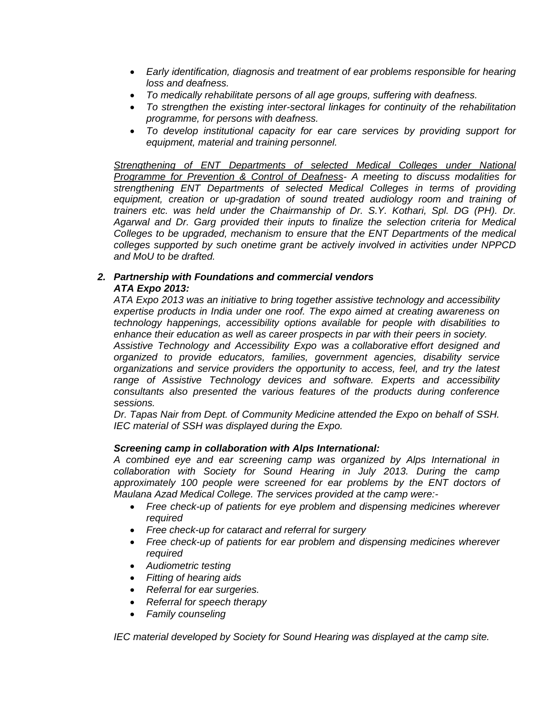- *Early identification, diagnosis and treatment of ear problems responsible for hearing loss and deafness.*
- *To medically rehabilitate persons of all age groups, suffering with deafness.*
- *To strengthen the existing inter-sectoral linkages for continuity of the rehabilitation programme, for persons with deafness.*
- *To develop institutional capacity for ear care services by providing support for equipment, material and training personnel.*

*Strengthening of ENT Departments of selected Medical Colleges under National Programme for Prevention & Control of Deafness- A meeting to discuss modalities for strengthening ENT Departments of selected Medical Colleges in terms of providing equipment, creation or up-gradation of sound treated audiology room and training of trainers etc. was held under the Chairmanship of Dr. S.Y. Kothari, Spl. DG (PH). Dr. Agarwal and Dr. Garg provided their inputs to finalize the selection criteria for Medical Colleges to be upgraded, mechanism to ensure that the ENT Departments of the medical colleges supported by such onetime grant be actively involved in activities under NPPCD and MoU to be drafted.* 

# *2. Partnership with Foundations and commercial vendors ATA Expo 2013:*

*ATA Expo 2013 was an initiative to bring together assistive technology and accessibility expertise products in India under one roof. The expo aimed at creating awareness on technology happenings, accessibility options available for people with disabilities to enhance their education as well as career prospects in par with their peers in society.* 

*Assistive Technology and Accessibility Expo was a collaborative effort designed and organized to provide educators, families, government agencies, disability service organizations and service providers the opportunity to access, feel, and try the latest range of Assistive Technology devices and software. Experts and accessibility consultants also presented the various features of the products during conference sessions.* 

*Dr. Tapas Nair from Dept. of Community Medicine attended the Expo on behalf of SSH. IEC material of SSH was displayed during the Expo.* 

# *Screening camp in collaboration with Alps International:*

*A combined eye and ear screening camp was organized by Alps International in collaboration with Society for Sound Hearing in July 2013. During the camp*  approximately 100 people were screened for ear problems by the ENT doctors of *Maulana Azad Medical College. The services provided at the camp were:-* 

- *Free check-up of patients for eye problem and dispensing medicines wherever required*
- *Free check-up for cataract and referral for surgery*
- *Free check-up of patients for ear problem and dispensing medicines wherever required*
- *Audiometric testing*
- *Fitting of hearing aids*
- *Referral for ear surgeries.*
- *Referral for speech therapy*
- *Family counseling*

*IEC material developed by Society for Sound Hearing was displayed at the camp site.*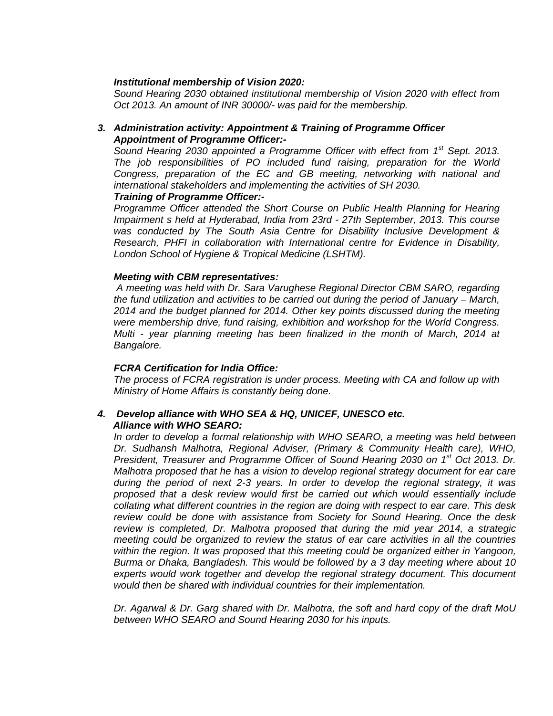### *Institutional membership of Vision 2020:*

*Sound Hearing 2030 obtained institutional membership of Vision 2020 with effect from Oct 2013. An amount of INR 30000/- was paid for the membership.* 

## *3. Administration activity: Appointment & Training of Programme Officer Appointment of Programme Officer:-*

*Sound Hearing 2030 appointed a Programme Officer with effect from 1st Sept. 2013. The job responsibilities of PO included fund raising, preparation for the World Congress, preparation of the EC and GB meeting, networking with national and international stakeholders and implementing the activities of SH 2030.* 

#### *Training of Programme Officer:-*

*Programme Officer attended the Short Course on Public Health Planning for Hearing Impairment s held at Hyderabad, India from 23rd - 27th September, 2013. This course was conducted by The South Asia Centre for Disability Inclusive Development & Research, PHFI in collaboration with International centre for Evidence in Disability, London School of Hygiene & Tropical Medicine (LSHTM).* 

#### *Meeting with CBM representatives:*

 *A meeting was held with Dr. Sara Varughese Regional Director CBM SARO, regarding the fund utilization and activities to be carried out during the period of January – March, 2014 and the budget planned for 2014. Other key points discussed during the meeting were membership drive, fund raising, exhibition and workshop for the World Congress. Multi - year planning meeting has been finalized in the month of March, 2014 at Bangalore.* 

### *FCRA Certification for India Office:*

*The process of FCRA registration is under process. Meeting with CA and follow up with Ministry of Home Affairs is constantly being done.* 

#### *4. Develop alliance with WHO SEA & HQ, UNICEF, UNESCO etc. Alliance with WHO SEARO:*

*In order to develop a formal relationship with WHO SEARO, a meeting was held between Dr. Sudhansh Malhotra, Regional Adviser, (Primary & Community Health care), WHO, President, Treasurer and Programme Officer of Sound Hearing 2030 on 1st Oct 2013. Dr. Malhotra proposed that he has a vision to develop regional strategy document for ear care during the period of next 2-3 years. In order to develop the regional strategy, it was proposed that a desk review would first be carried out which would essentially include collating what different countries in the region are doing with respect to ear care. This desk review could be done with assistance from Society for Sound Hearing. Once the desk review is completed, Dr. Malhotra proposed that during the mid year 2014, a strategic meeting could be organized to review the status of ear care activities in all the countries within the region. It was proposed that this meeting could be organized either in Yangoon, Burma or Dhaka, Bangladesh. This would be followed by a 3 day meeting where about 10 experts would work together and develop the regional strategy document. This document would then be shared with individual countries for their implementation.* 

*Dr. Agarwal & Dr. Garg shared with Dr. Malhotra, the soft and hard copy of the draft MoU between WHO SEARO and Sound Hearing 2030 for his inputs.*